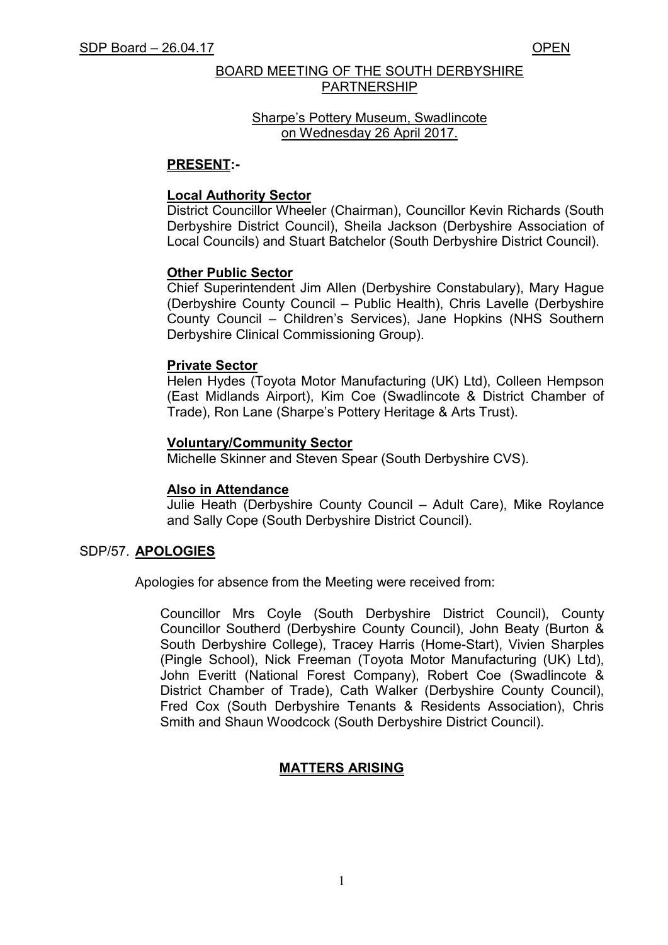# BOARD MEETING OF THE SOUTH DERBYSHIRE PARTNERSHIP

# Sharpe's Pottery Museum, Swadlincote on Wednesday 26 April 2017.

# **PRESENT:-**

# **Local Authority Sector**

District Councillor Wheeler (Chairman), Councillor Kevin Richards (South Derbyshire District Council), Sheila Jackson (Derbyshire Association of Local Councils) and Stuart Batchelor (South Derbyshire District Council).

# **Other Public Sector**

 Chief Superintendent Jim Allen (Derbyshire Constabulary), Mary Hague (Derbyshire County Council – Public Health), Chris Lavelle (Derbyshire County Council – Children's Services), Jane Hopkins (NHS Southern Derbyshire Clinical Commissioning Group).

# **Private Sector**

Helen Hydes (Toyota Motor Manufacturing (UK) Ltd), Colleen Hempson (East Midlands Airport), Kim Coe (Swadlincote & District Chamber of Trade), Ron Lane (Sharpe's Pottery Heritage & Arts Trust).

# **Voluntary/Community Sector**

Michelle Skinner and Steven Spear (South Derbyshire CVS).

# **Also in Attendance**

Julie Heath (Derbyshire County Council – Adult Care), Mike Roylance and Sally Cope (South Derbyshire District Council).

# SDP/57. **APOLOGIES**

Apologies for absence from the Meeting were received from:

 Councillor Mrs Coyle (South Derbyshire District Council), County Councillor Southerd (Derbyshire County Council), John Beaty (Burton & South Derbyshire College), Tracey Harris (Home-Start), Vivien Sharples (Pingle School), Nick Freeman (Toyota Motor Manufacturing (UK) Ltd), John Everitt (National Forest Company), Robert Coe (Swadlincote & District Chamber of Trade), Cath Walker (Derbyshire County Council), Fred Cox (South Derbyshire Tenants & Residents Association), Chris Smith and Shaun Woodcock (South Derbyshire District Council).

# **MATTERS ARISING**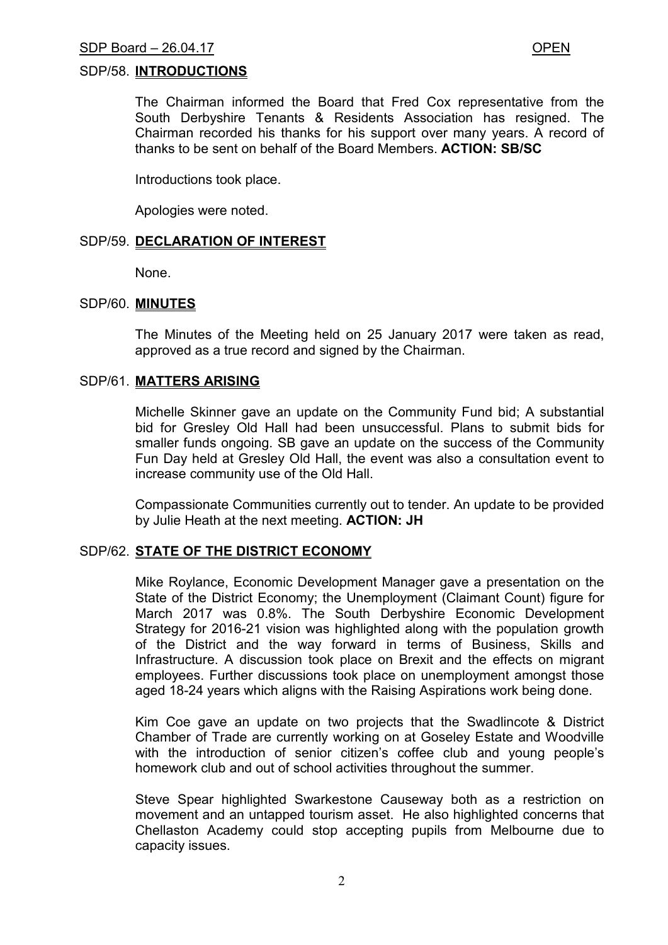## SDP/58. **INTRODUCTIONS**

 The Chairman informed the Board that Fred Cox representative from the South Derbyshire Tenants & Residents Association has resigned. The Chairman recorded his thanks for his support over many years. A record of thanks to be sent on behalf of the Board Members. **ACTION: SB/SC**

Introductions took place.

Apologies were noted.

## SDP/59. **DECLARATION OF INTEREST**

None.

# SDP/60. **MINUTES**

The Minutes of the Meeting held on 25 January 2017 were taken as read, approved as a true record and signed by the Chairman.

## SDP/61. **MATTERS ARISING**

 Michelle Skinner gave an update on the Community Fund bid; A substantial bid for Gresley Old Hall had been unsuccessful. Plans to submit bids for smaller funds ongoing. SB gave an update on the success of the Community Fun Day held at Gresley Old Hall, the event was also a consultation event to increase community use of the Old Hall.

 Compassionate Communities currently out to tender. An update to be provided by Julie Heath at the next meeting. **ACTION: JH**

## SDP/62. **STATE OF THE DISTRICT ECONOMY**

 Mike Roylance, Economic Development Manager gave a presentation on the State of the District Economy; the Unemployment (Claimant Count) figure for March 2017 was 0.8%. The South Derbyshire Economic Development Strategy for 2016-21 vision was highlighted along with the population growth of the District and the way forward in terms of Business, Skills and Infrastructure. A discussion took place on Brexit and the effects on migrant employees. Further discussions took place on unemployment amongst those aged 18-24 years which aligns with the Raising Aspirations work being done.

 Kim Coe gave an update on two projects that the Swadlincote & District Chamber of Trade are currently working on at Goseley Estate and Woodville with the introduction of senior citizen's coffee club and young people's homework club and out of school activities throughout the summer.

 Steve Spear highlighted Swarkestone Causeway both as a restriction on movement and an untapped tourism asset. He also highlighted concerns that Chellaston Academy could stop accepting pupils from Melbourne due to capacity issues.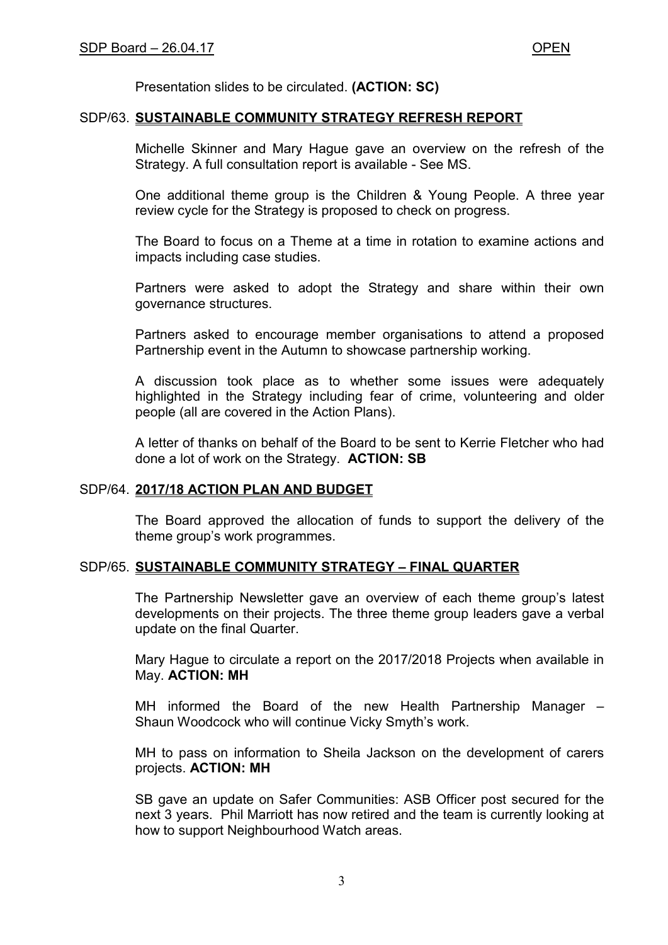Presentation slides to be circulated. **(ACTION: SC)** 

### SDP/63. **SUSTAINABLE COMMUNITY STRATEGY REFRESH REPORT**

 Michelle Skinner and Mary Hague gave an overview on the refresh of the Strategy. A full consultation report is available - See MS.

 One additional theme group is the Children & Young People. A three year review cycle for the Strategy is proposed to check on progress.

 The Board to focus on a Theme at a time in rotation to examine actions and impacts including case studies.

 Partners were asked to adopt the Strategy and share within their own governance structures.

 Partners asked to encourage member organisations to attend a proposed Partnership event in the Autumn to showcase partnership working.

 A discussion took place as to whether some issues were adequately highlighted in the Strategy including fear of crime, volunteering and older people (all are covered in the Action Plans).

 A letter of thanks on behalf of the Board to be sent to Kerrie Fletcher who had done a lot of work on the Strategy. **ACTION: SB** 

#### SDP/64. **2017/18 ACTION PLAN AND BUDGET**

 The Board approved the allocation of funds to support the delivery of the theme group's work programmes.

## SDP/65. **SUSTAINABLE COMMUNITY STRATEGY – FINAL QUARTER**

 The Partnership Newsletter gave an overview of each theme group's latest developments on their projects. The three theme group leaders gave a verbal update on the final Quarter.

 Mary Hague to circulate a report on the 2017/2018 Projects when available in May. **ACTION: MH**

 MH informed the Board of the new Health Partnership Manager – Shaun Woodcock who will continue Vicky Smyth's work.

 MH to pass on information to Sheila Jackson on the development of carers projects. **ACTION: MH**

 SB gave an update on Safer Communities: ASB Officer post secured for the next 3 years. Phil Marriott has now retired and the team is currently looking at how to support Neighbourhood Watch areas.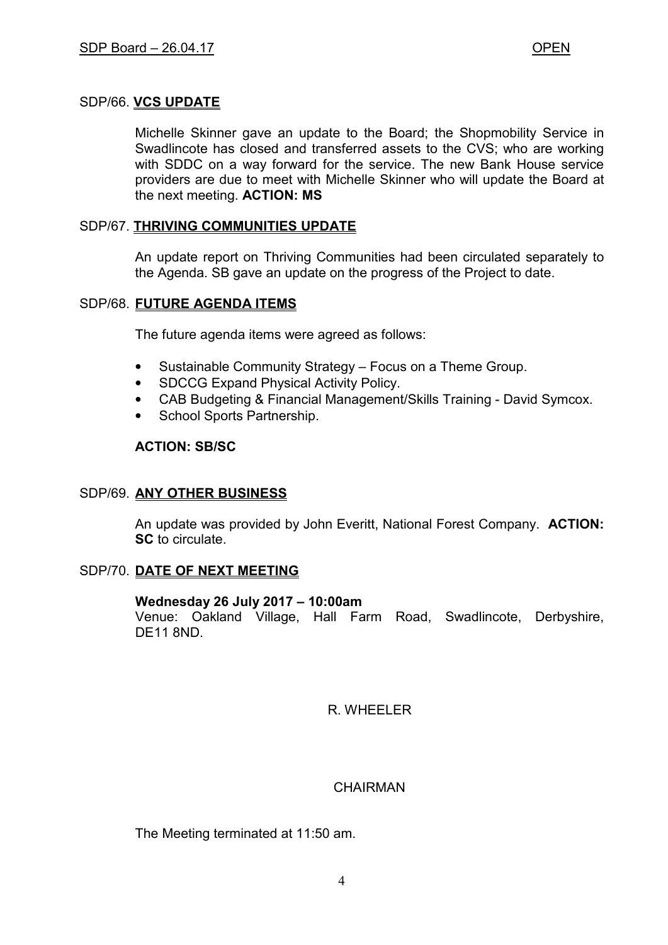# SDP/66. **VCS UPDATE**

 Michelle Skinner gave an update to the Board; the Shopmobility Service in Swadlincote has closed and transferred assets to the CVS; who are working with SDDC on a way forward for the service. The new Bank House service providers are due to meet with Michelle Skinner who will update the Board at the next meeting. **ACTION: MS**

# SDP/67. **THRIVING COMMUNITIES UPDATE**

 An update report on Thriving Communities had been circulated separately to the Agenda. SB gave an update on the progress of the Project to date.

## SDP/68. **FUTURE AGENDA ITEMS**

The future agenda items were agreed as follows:

- Sustainable Community Strategy Focus on a Theme Group.
- SDCCG Expand Physical Activity Policy.
- CAB Budgeting & Financial Management/Skills Training David Symcox.
- School Sports Partnership.

# **ACTION: SB/SC**

# SDP/69. **ANY OTHER BUSINESS**

 An update was provided by John Everitt, National Forest Company. **ACTION: SC** to circulate.

# SDP/70. **DATE OF NEXT MEETING**

## **Wednesday 26 July 2017 – 10:00am**

Venue: Oakland Village, Hall Farm Road, Swadlincote, Derbyshire, DE11 8ND.

R. WHEELER

# **CHAIRMAN**

The Meeting terminated at 11:50 am.